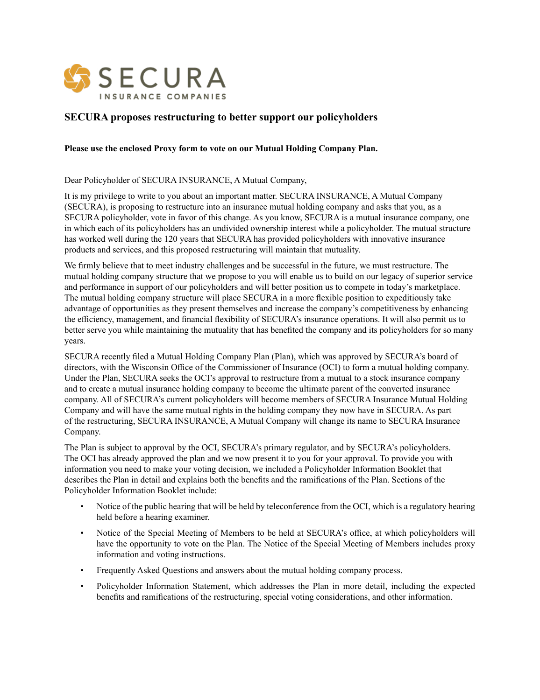

## **SECURA proposes restructuring to better support our policyholders**

## **Please use the enclosed Proxy form to vote on our Mutual Holding Company Plan.**

Dear Policyholder of SECURA INSURANCE, A Mutual Company,

It is my privilege to write to you about an important matter. SECURA INSURANCE, A Mutual Company (SECURA), is proposing to restructure into an insurance mutual holding company and asks that you, as a SECURA policyholder, vote in favor of this change. As you know, SECURA is a mutual insurance company, one in which each of its policyholders has an undivided ownership interest while a policyholder. The mutual structure has worked well during the 120 years that SECURA has provided policyholders with innovative insurance products and services, and this proposed restructuring will maintain that mutuality.

We firmly believe that to meet industry challenges and be successful in the future, we must restructure. The mutual holding company structure that we propose to you will enable us to build on our legacy of superior service and performance in support of our policyholders and will better position us to compete in today's marketplace. The mutual holding company structure will place SECURA in a more flexible position to expeditiously take advantage of opportunities as they present themselves and increase the company's competitiveness by enhancing the efficiency, management, and financial flexibility of SECURA's insurance operations. It will also permit us to better serve you while maintaining the mutuality that has benefited the company and its policyholders for so many years.

SECURA recently filed a Mutual Holding Company Plan (Plan), which was approved by SECURA's board of directors, with the Wisconsin Office of the Commissioner of Insurance (OCI) to form a mutual holding company. Under the Plan, SECURA seeks the OCI's approval to restructure from a mutual to a stock insurance company and to create a mutual insurance holding company to become the ultimate parent of the converted insurance company. All of SECURA's current policyholders will become members of SECURA Insurance Mutual Holding Company and will have the same mutual rights in the holding company they now have in SECURA. As part of the restructuring, SECURA INSURANCE, A Mutual Company will change its name to SECURA Insurance Company.

The Plan is subject to approval by the OCI, SECURA's primary regulator, and by SECURA's policyholders. The OCI has already approved the plan and we now present it to you for your approval. To provide you with information you need to make your voting decision, we included a Policyholder Information Booklet that describes the Plan in detail and explains both the benefits and the ramifications of the Plan. Sections of the Policyholder Information Booklet include:

- Notice of the public hearing that will be held by teleconference from the OCI, which is a regulatory hearing held before a hearing examiner.
- Notice of the Special Meeting of Members to be held at SECURA's office, at which policyholders will have the opportunity to vote on the Plan. The Notice of the Special Meeting of Members includes proxy information and voting instructions.
- Frequently Asked Questions and answers about the mutual holding company process.
- Policyholder Information Statement, which addresses the Plan in more detail, including the expected benefits and ramifications of the restructuring, special voting considerations, and other information.